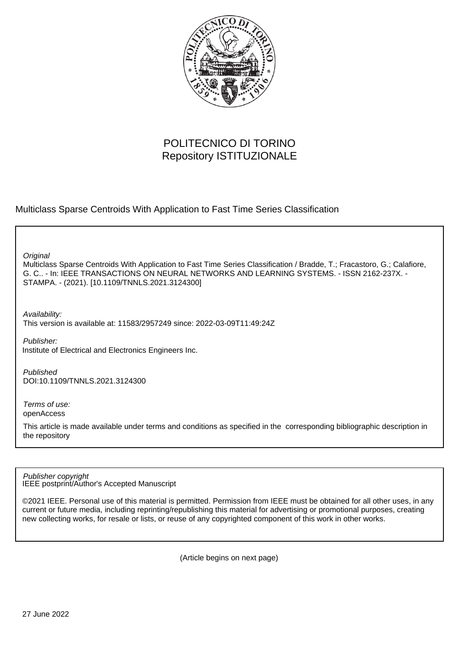

## POLITECNICO DI TORINO Repository ISTITUZIONALE

Multiclass Sparse Centroids With Application to Fast Time Series Classification

**Original** 

Multiclass Sparse Centroids With Application to Fast Time Series Classification / Bradde, T.; Fracastoro, G.; Calafiore, G. C.. - In: IEEE TRANSACTIONS ON NEURAL NETWORKS AND LEARNING SYSTEMS. - ISSN 2162-237X. - STAMPA. - (2021). [10.1109/TNNLS.2021.3124300]

Availability:

This version is available at: 11583/2957249 since: 2022-03-09T11:49:24Z

Publisher: Institute of Electrical and Electronics Engineers Inc.

Published DOI:10.1109/TNNLS.2021.3124300

Terms of use: openAccess

This article is made available under terms and conditions as specified in the corresponding bibliographic description in the repository

IEEE postprint/Author's Accepted Manuscript Publisher copyright

©2021 IEEE. Personal use of this material is permitted. Permission from IEEE must be obtained for all other uses, in any current or future media, including reprinting/republishing this material for advertising or promotional purposes, creating new collecting works, for resale or lists, or reuse of any copyrighted component of this work in other works.

(Article begins on next page)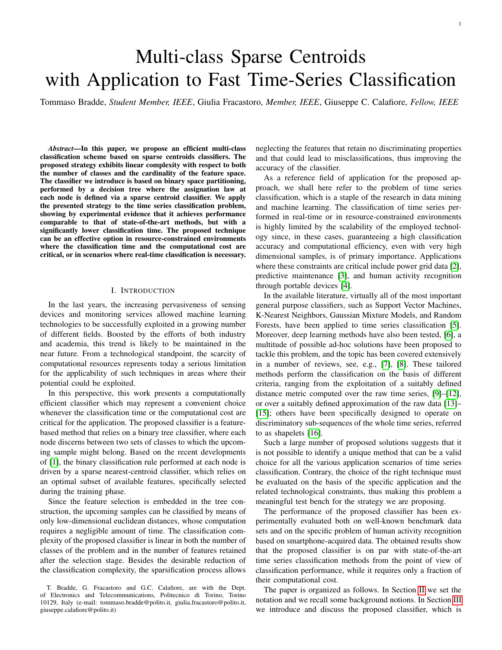# Multi-class Sparse Centroids with Application to Fast Time-Series Classification

Tommaso Bradde, *Student Member, IEEE*, Giulia Fracastoro, *Member, IEEE*, Giuseppe C. Calafiore, *Fellow, IEEE*

*Abstract*—In this paper, we propose an efficient multi-class classification scheme based on sparse centroids classifiers. The proposed strategy exhibits linear complexity with respect to both the number of classes and the cardinality of the feature space. The classifier we introduce is based on binary space partitioning, performed by a decision tree where the assignation law at each node is defined via a sparse centroid classifier. We apply the presented strategy to the time series classification problem, showing by experimental evidence that it achieves performance comparable to that of state-of-the-art methods, but with a significantly lower classification time. The proposed technique can be an effective option in resource-constrained environments where the classification time and the computational cost are critical, or in scenarios where real-time classification is necessary.

#### I. INTRODUCTION

In the last years, the increasing pervasiveness of sensing devices and monitoring services allowed machine learning technologies to be successfully exploited in a growing number of different fields. Boosted by the efforts of both industry and academia, this trend is likely to be maintained in the near future. From a technological standpoint, the scarcity of computational resources represents today a serious limitation for the applicability of such techniques in areas where their potential could be exploited.

In this perspective, this work presents a computationally efficient classifier which may represent a convenient choice whenever the classification time or the computational cost are critical for the application. The proposed classifier is a featurebased method that relies on a binary tree classifier, where each node discerns between two sets of classes to which the upcoming sample might belong. Based on the recent developments of [1], the binary classification rule performed at each node is driven by a sparse nearest-centroid classifier, which relies on an optimal subset of available features, specifically selected during the training phase.

Since the feature selection is embedded in the tree construction, the upcoming samples can be classified by means of only low-dimensional euclidean distances, whose computation requires a negligible amount of time. The classification complexity of the proposed classifier is linear in both the number of classes of the problem and in the number of features retained after the selection stage. Besides the desirable reduction of the classification complexity, the sparsification process allows

neglecting the features that retain no discriminating properties and that could lead to misclassifications, thus improving the accuracy of the classifier.

As a reference field of application for the proposed approach, we shall here refer to the problem of time series classification, which is a staple of the research in data mining and machine learning. The classification of time series performed in real-time or in resource-constrained environments is highly limited by the scalability of the employed technology since, in these cases, guaranteeing a high classification accuracy and computational efficiency, even with very high dimensional samples, is of primary importance. Applications where these constraints are critical include power grid data [2], predictive maintenance [3], and human activity recognition through portable devices [4].

In the available literature, virtually all of the most important general purpose classifiers, such as Support Vector Machines, K-Nearest Neighbors, Gaussian Mixture Models, and Random Forests, have been applied to time series classification [5]. Moreover, deep learning methods have also been tested, [6], a multitude of possible ad-hoc solutions have been proposed to tackle this problem, and the topic has been covered extensively in a number of reviews, see, e.g., [7], [8]. These tailored methods perform the classification on the basis of different criteria, ranging from the exploitation of a suitably defined distance metric computed over the raw time series, [9]–[12], or over a suitably defined approximation of the raw data [13]– [15]; others have been specifically designed to operate on discriminatory sub-sequences of the whole time series, referred to as shapelets [16].

Such a large number of proposed solutions suggests that it is not possible to identify a unique method that can be a valid choice for all the various application scenarios of time series classification. Contrary, the choice of the right technique must be evaluated on the basis of the specific application and the related technological constraints, thus making this problem a meaningful test bench for the strategy we are proposing.

The performance of the proposed classifier has been experimentally evaluated both on well-known benchmark data sets and on the specific problem of human activity recognition based on smartphone-acquired data. The obtained results show that the proposed classifier is on par with state-of-the-art time series classification methods from the point of view of classification performance, while it requires only a fraction of their computational cost.

The paper is organized as follows. In Section II we set the notation and we recall some background notions. In Section III we introduce and discuss the proposed classifier, which is

T. Bradde, G. Fracastoro and G.C. Calafiore, are with the Dept. of Electronics and Telecommunications, Politecnico di Torino, Torino 10129, Italy (e-mail: tommaso.bradde@polito.it, giulia.fracastoro@polito.it, giuseppe.calafiore@polito.it)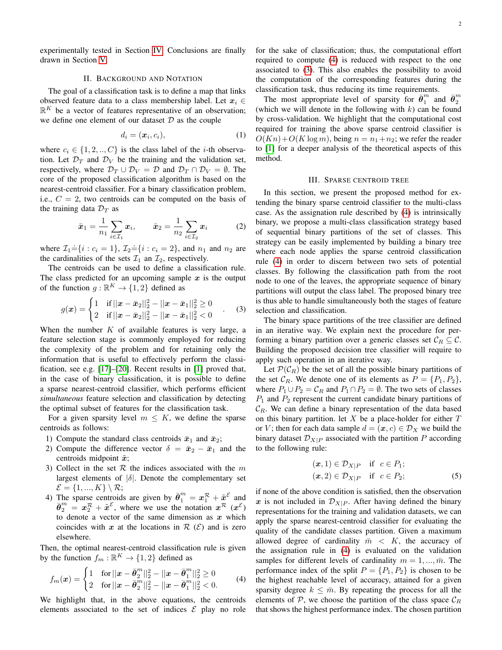#### II. BACKGROUND AND NOTATION

The goal of a classification task is to define a map that links observed feature data to a class membership label. Let  $x_i \in$  $\mathbb{R}^K$  be a vector of features representative of an observation; we define one element of our dataset  $D$  as the couple

$$
d_i = (\boldsymbol{x}_i, c_i),\tag{1}
$$

where  $c_i \in \{1, 2, ..., C\}$  is the class label of the *i*-th observation. Let  $\mathcal{D}_T$  and  $\mathcal{D}_V$  be the training and the validation set, respectively, where  $\mathcal{D}_T \cup \mathcal{D}_V = \mathcal{D}$  and  $\mathcal{D}_T \cap \mathcal{D}_V = \emptyset$ . The core of the proposed classification algorithm is based on the nearest-centroid classifier. For a binary classification problem, i.e.,  $C = 2$ , two centroids can be computed on the basis of the training data  $\mathcal{D}_T$  as

$$
\bar{x}_1 = \frac{1}{n_1} \sum_{i \in \mathcal{I}_1} x_i, \qquad \bar{x}_2 = \frac{1}{n_2} \sum_{i \in \mathcal{I}_2} x_i \tag{2}
$$

where  $\mathcal{I}_1 = \{i : c_i = 1\}$ ,  $\mathcal{I}_2 = \{i : c_i = 2\}$ , and  $n_1$  and  $n_2$  are the cardinalities of the sets  $\mathcal{I}_1$  an  $\mathcal{I}_2$ , respectively.

The centroids can be used to define a classification rule. The class predicted for an upcoming sample  $x$  is the output of the function  $g : \mathbb{R}^K \to \{1,2\}$  defined as

$$
g(\boldsymbol{x}) = \begin{cases} 1 & \text{if } ||\boldsymbol{x} - \bar{\boldsymbol{x}}_2||_2^2 - ||\boldsymbol{x} - \bar{\boldsymbol{x}}_1||_2^2 \ge 0 \\ 2 & \text{if } ||\boldsymbol{x} - \bar{\boldsymbol{x}}_2||_2^2 - ||\boldsymbol{x} - \bar{\boldsymbol{x}}_1||_2^2 < 0 \end{cases} . \tag{3}
$$

When the number  $K$  of available features is very large, a feature selection stage is commonly employed for reducing the complexity of the problem and for retaining only the information that is useful to effectively perform the classification, see e.g. [17]–[20]. Recent results in [1] proved that, in the case of binary classification, it is possible to define a sparse nearest-centroid classifier, which performs efficient *simultaneous* feature selection and classification by detecting the optimal subset of features for the classification task.

For a given sparsity level  $m \leq K$ , we define the sparse centroids as follows:

- 1) Compute the standard class centroids  $\bar{x}_1$  and  $\bar{x}_2$ ;
- 2) Compute the difference vector  $\delta = \bar{x}_2 \bar{x}_1$  and the centroids midpoint  $\tilde{x}$ ;
- 3) Collect in the set  $R$  the indices associated with the m largest elements of  $|\delta|$ . Denote the complementary set  $\mathcal{E} = \{1, ..., K\} \setminus \mathcal{R};$
- 4) The sparse centroids are given by  $\bar{\theta}_1^m = x_1^{\mathcal{R}} + \tilde{x}^{\mathcal{E}}$  and  $\bar{\theta}_2^m = x_2^{\mathcal{R}} + \tilde{x}^{\mathcal{E}}$ , where we use the notation  $x^{\mathcal{R}}(x^{\mathcal{E}})$ to denote a vector of the same dimension as  $x$  which coincides with x at the locations in  $\mathcal{R}(\mathcal{E})$  and is zero elsewhere.

Then, the optimal nearest-centroid classification rule is given by the function  $f_m : \mathbb{R}^K \to \{1,2\}$  defined as

$$
f_m(\boldsymbol{x}) = \begin{cases} 1 & \text{for } ||\boldsymbol{x} - \bar{\boldsymbol{\theta}}_2^m||_2^2 - ||\boldsymbol{x} - \bar{\boldsymbol{\theta}}_1^m||_2^2 \ge 0 \\ 2 & \text{for } ||\boldsymbol{x} - \bar{\boldsymbol{\theta}}_2^m||_2^2 - ||\boldsymbol{x} - \bar{\boldsymbol{\theta}}_1^m||_2^2 < 0. \end{cases} \tag{4}
$$

We highlight that, in the above equations, the centroids elements associated to the set of indices  $\mathcal E$  play no role for the sake of classification; thus, the computational effort required to compute (4) is reduced with respect to the one associated to (3). This also enables the possibility to avoid the computation of the corresponding features during the classification task, thus reducing its time requirements.

The most appropriate level of sparsity for  $\bar{\theta}_1^m$  and  $\bar{\theta}_2^m$ (which we will denote in the following with  $k$ ) can be found by cross-validation. We highlight that the computational cost required for training the above sparse centroid classifier is  $O(Kn)+O(K \log m)$ , being  $n = n_1+n_2$ ; we refer the reader to [1] for a deeper analysis of the theoretical aspects of this method.

#### III. SPARSE CENTROID TREE

In this section, we present the proposed method for extending the binary sparse centroid classifier to the multi-class case. As the assignation rule described by (4) is intrinsically binary, we propose a multi-class classification strategy based of sequential binary partitions of the set of classes. This strategy can be easily implemented by building a binary tree where each node applies the sparse centroid classification rule (4) in order to discern between two sets of potential classes. By following the classification path from the root node to one of the leaves, the appropriate sequence of binary partitions will output the class label. The proposed binary tree is thus able to handle simultaneously both the stages of feature selection and classification.

The binary space partitions of the tree classifier are defined in an iterative way. We explain next the procedure for performing a binary partition over a generic classes set  $C_R \subseteq \mathcal{C}$ . Building the proposed decision tree classifier will require to apply such operation in an iterative way.

Let  $\mathcal{P}(\mathcal{C}_R)$  be the set of all the possible binary partitions of the set  $C_R$ . We denote one of its elements as  $P = \{P_1, P_2\}$ , where  $P_1 \cup P_2 = C_R$  and  $P_1 \cap P_2 = \emptyset$ . The two sets of classes  $P_1$  and  $P_2$  represent the current candidate binary partitions of  $\mathcal{C}_R$ . We can define a binary representation of the data based on this binary partition. let  $X$  be a place-holder for either  $T$ or V; then for each data sample  $d = (\mathbf{x}, c) \in \mathcal{D}_X$  we build the binary dataset  $\mathcal{D}_{X|P}$  associated with the partition P according to the following rule:

$$
(\mathbf{x}, 1) \in \mathcal{D}_{X|P} \quad \text{if} \quad c \in P_1; \n(\mathbf{x}, 2) \in \mathcal{D}_{X|P} \quad \text{if} \quad c \in P_2; \tag{5}
$$

if none of the above condition is satisfied, then the observation x is not included in  $\mathcal{D}_{X|P}$ . After having defined the binary representations for the training and validation datasets, we can apply the sparse nearest-centroid classifier for evaluating the quality of the candidate classes partition. Given a maximum allowed degree of cardinality  $\bar{m} < K$ , the accuracy of the assignation rule in (4) is evaluated on the validation samples for different levels of cardinality  $m = 1, ..., \overline{m}$ . The performance index of the split  $P = \{P_1, P_2\}$  is chosen to be the highest reachable level of accuracy, attained for a given sparsity degree  $k \leq \overline{m}$ . By repeating the process for all the elements of  $P$ , we choose the partition of the class space  $C_R$ that shows the highest performance index. The chosen partition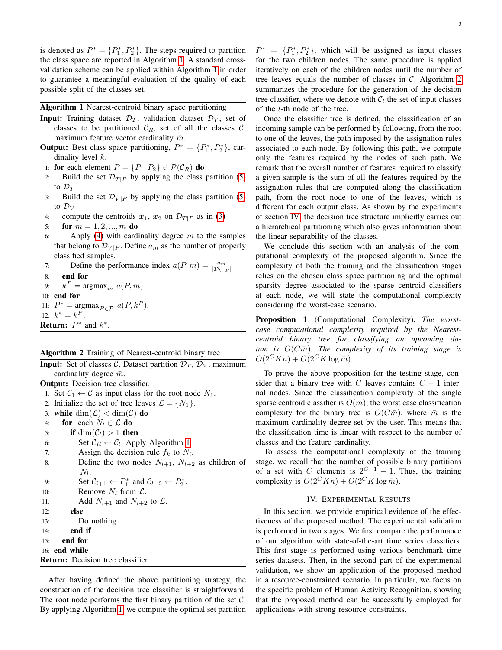is denoted as  $P^* = \{P_1^*, P_2^*\}$ . The steps required to partition the class space are reported in Algorithm 1. A standard crossvalidation scheme can be applied within Algorithm 1 in order to guarantee a meaningful evaluation of the quality of each possible split of the classes set.

### Algorithm 1 Nearest-centroid binary space partitioning

- **Input:** Training dataset  $\mathcal{D}_T$ , validation dataset  $\mathcal{D}_V$ , set of classes to be partitioned  $\mathcal{C}_R$ , set of all the classes  $\mathcal{C}$ , maximum feature vector cardinality  $\bar{m}$ .
- **Output:** Best class space partitioning,  $P^* = \{P_1^*, P_2^*\}$ , cardinality level k.
- 1: for each element  $P = \{P_1, P_2\} \in \mathcal{P}(\mathcal{C}_R)$  do
- 2: Build the set  $\mathcal{D}_{T|P}$  by applying the class partition (5) to  $\mathcal{D}_T$
- 3: Build the set  $\mathcal{D}_{V|P}$  by applying the class partition (5) to  $\mathcal{D}_V$
- 4: compute the centroids  $\bar{x}_1$ ,  $\bar{x}_2$  on  $\mathcal{D}_{T|P}$  as in (3)
- 5: **for**  $m = 1, 2, ..., \bar{m}$  do
- 6: Apply (4) with cardinality degree  $m$  to the samples that belong to  $\mathcal{D}_{V|P}$ . Define  $a_m$  as the number of properly classified samples.
- 7: Define the performance index  $a(P, m) = \frac{a_m}{|\mathcal{D}_{V|P}|}$
- 8: end for
- 9:  $k^P = \text{argmax}_m a(P, m)$
- 10: end for
- 11:  $P^* = \underset{\sim}{\text{argmax}}_{P \in \mathcal{P}} a(P, k^P).$ 12:  $k^* = k^P$ .
- **Return:**  $P^*$  and  $k^*$ .

#### Algorithm 2 Training of Nearest-centroid binary tree

**Input:** Set of classes C, Dataset partition  $\mathcal{D}_T$ ,  $\mathcal{D}_V$ , maximum cardinality degree  $\bar{m}$ . Output: Decision tree classifier. 1: Set  $C_1 \leftarrow C$  as input class for the root node  $N_1$ . 2: Initialize the set of tree leaves  $\mathcal{L} = \{N_1\}.$ 3: while  $\dim(\mathcal{L}) < \dim(\mathcal{C})$  do 4: for each  $N_l \in \mathcal{L}$  do 5: if  $\dim(\mathcal{C}_l) > 1$  then 6: Set  $C_R \leftarrow C_l$ . Apply Algorithm 1 7: Assign the decision rule  $f_k$  to  $N_l$ . 8: Define the two nodes  $N_{l+1}$ ,  $N_{l+2}$  as children of  $N_l$ . 9: Set  $C_{l+1} \leftarrow P_1^*$  and  $C_{l+2} \leftarrow P_2^*$ . 10: **Remove**  $N_l$  from  $\mathcal{L}$ . 11: Add  $N_{l+1}$  and  $N_{l+2}$  to  $\mathcal{L}$ . 12: else 13: Do nothing 14: end if

- 15: end for
- 

```
16: end while
Return: Decision tree classifier
```
After having defined the above partitioning strategy, the construction of the decision tree classifier is straightforward. The root node performs the first binary partition of the set  $C$ . By applying Algorithm 1, we compute the optimal set partition

 $P^* = \{P_1^*, P_2^*\}$ , which will be assigned as input classes for the two children nodes. The same procedure is applied iteratively on each of the children nodes until the number of tree leaves equals the number of classes in  $C$ . Algorithm 2 summarizes the procedure for the generation of the decision tree classifier, where we denote with  $C_l$  the set of input classes of the l-th node of the tree.

Once the classifier tree is defined, the classification of an incoming sample can be performed by following, from the root to one of the leaves, the path imposed by the assignation rules associated to each node. By following this path, we compute only the features required by the nodes of such path. We remark that the overall number of features required to classify a given sample is the sum of all the features required by the assignation rules that are computed along the classification path, from the root node to one of the leaves, which is different for each output class. As shown by the experiments of section IV, the decision tree structure implicitly carries out a hierarchical partitioning which also gives information about the linear separability of the classes.

We conclude this section with an analysis of the computational complexity of the proposed algorithm. Since the complexity of both the training and the classification stages relies on the chosen class space partitioning and the optimal sparsity degree associated to the sparse centroid classifiers at each node, we will state the computational complexity considering the worst-case scenario.

Proposition 1 (Computational Complexity). *The worstcase computational complexity required by the Nearestcentroid binary tree for classifying an upcoming da* $tum$  is  $O(C\bar{m})$ . The complexity of its training stage is  $O(2^{C}Kn) + O(2^{C}K \log \bar{m}).$ 

To prove the above proposition for the testing stage, consider that a binary tree with C leaves contains  $C - 1$  internal nodes. Since the classification complexity of the single sparse centroid classifier is  $O(m)$ , the worst case classification complexity for the binary tree is  $O(C\bar{m})$ , where  $\bar{m}$  is the maximum cardinality degree set by the user. This means that the classification time is linear with respect to the number of classes and the feature cardinality.

To assess the computational complexity of the training stage, we recall that the number of possible binary partitions of a set with C elements is  $2^{C-1} - 1$ . Thus, the training complexity is  $O(2^{C}Kn) + O(2^{C}K \log \overline{m}).$ 

#### IV. EXPERIMENTAL RESULTS

In this section, we provide empirical evidence of the effectiveness of the proposed method. The experimental validation is performed in two stages. We first compare the performance of our algorithm with state-of-the-art time series classifiers. This first stage is performed using various benchmark time series datasets. Then, in the second part of the experimental validation, we show an application of the proposed method in a resource-constrained scenario. In particular, we focus on the specific problem of Human Activity Recognition, showing that the proposed method can be successfully employed for applications with strong resource constraints.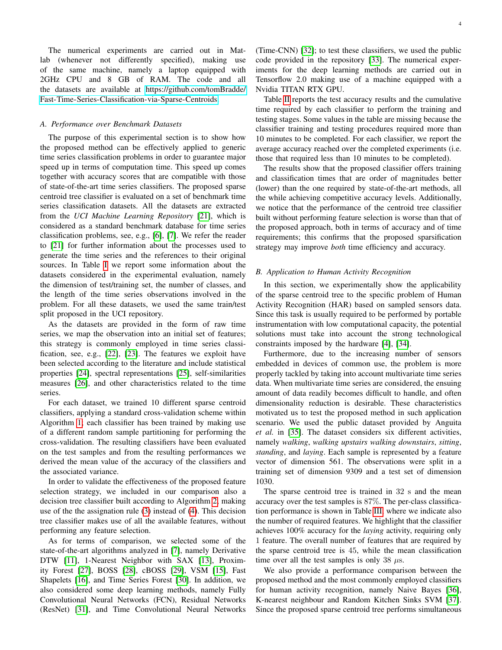The numerical experiments are carried out in Matlab (whenever not differently specified), making use of the same machine, namely a laptop equipped with 2GHz CPU and 8 GB of RAM. The code and all the datasets are available at [https://github.com/tomBradde/](https://github.com/tomBradde/Fast-Time-Series-Classification-via-Sparse-Centroids) [Fast-Time-Series-Classification-via-Sparse-Centroids.](https://github.com/tomBradde/Fast-Time-Series-Classification-via-Sparse-Centroids)

#### *A. Performance over Benchmark Datasets*

The purpose of this experimental section is to show how the proposed method can be effectively applied to generic time series classification problems in order to guarantee major speed up in terms of computation time. This speed up comes together with accuracy scores that are compatible with those of state-of-the-art time series classifiers. The proposed sparse centroid tree classifier is evaluated on a set of benchmark time series classification datasets. All the datasets are extracted from the *UCI Machine Learning Repository* [21], which is considered as a standard benchmark database for time series classification problems, see, e.g., [6], [7]. We refer the reader to [21] for further information about the processes used to generate the time series and the references to their original sources. In Table I we report some information about the datasets considered in the experimental evaluation, namely the dimension of test/training set, the number of classes, and the length of the time series observations involved in the problem. For all these datasets, we used the same train/test split proposed in the UCI repository.

As the datasets are provided in the form of raw time series, we map the observation into an initial set of features; this strategy is commonly employed in time series classification, see, e.g., [22], [23]. The features we exploit have been selected according to the literature and include statistical properties [24], spectral representations [25], self-similarities measures [26], and other characteristics related to the time series.

For each dataset, we trained 10 different sparse centroid classifiers, applying a standard cross-validation scheme within Algorithm 1; each classifier has been trained by making use of a different random sample partitioning for performing the cross-validation. The resulting classifiers have been evaluated on the test samples and from the resulting performances we derived the mean value of the accuracy of the classifiers and the associated variance.

In order to validate the effectiveness of the proposed feature selection strategy, we included in our comparison also a decision tree classifier built according to Algorithm 2, making use of the the assignation rule (3) instead of (4). This decision tree classifier makes use of all the available features, without performing any feature selection.

As for terms of comparison, we selected some of the state-of-the-art algorithms analyzed in [7], namely Derivative DTW [11], 1-Nearest Neighbor with SAX [13], Proximity Forest [27], BOSS [28], cBOSS [29], VSM [15], Fast Shapelets [16], and Time Series Forest [30]. In addition, we also considered some deep learning methods, namely Fully Convolutional Neural Networks (FCN), Residual Networks (ResNet) [31], and Time Convolutional Neural Networks (Time-CNN) [32]; to test these classifiers, we used the public code provided in the repository [33]. The numerical experiments for the deep learning methods are carried out in Tensorflow 2.0 making use of a machine equipped with a Nvidia TITAN RTX GPU.

Table II reports the test accuracy results and the cumulative time required by each classifier to perform the training and testing stages. Some values in the table are missing because the classifier training and testing procedures required more than 10 minutes to be completed. For each classifier, we report the average accuracy reached over the completed experiments (i.e. those that required less than 10 minutes to be completed).

The results show that the proposed classifier offers training and classification times that are order of magnitudes better (lower) than the one required by state-of-the-art methods, all the while achieving competitive accuracy levels. Additionally, we notice that the performance of the centroid tree classifier built without performing feature selection is worse than that of the proposed approach, both in terms of accuracy and of time requirements; this confirms that the proposed sparsification strategy may improve *both* time efficiency and accuracy.

#### *B. Application to Human Activity Recognition*

In this section, we experimentally show the applicability of the sparse centroid tree to the specific problem of Human Activity Recognition (HAR) based on sampled sensors data. Since this task is usually required to be performed by portable instrumentation with low computational capacity, the potential solutions must take into account the strong technological constraints imposed by the hardware [4], [34].

Furthermore, due to the increasing number of sensors embedded in devices of common use, the problem is more properly tackled by taking into account multivariate time series data. When multivariate time series are considered, the ensuing amount of data readily becomes difficult to handle, and often dimensionality reduction is desirable. These characteristics motivated us to test the proposed method in such application scenario. We used the public dataset provided by Anguita *et al.* in [35]. The dataset considers six different activities, namely *walking*, *walking upstairs walking downstairs*, *sitting*, *standing*, and *laying*. Each sample is represented by a feature vector of dimension 561. The observations were split in a training set of dimension 9309 and a test set of dimension 1030.

The sparse centroid tree is trained in 32 s and the mean accuracy over the test samples is 87%. The per-class classification performance is shown in Table III, where we indicate also the number of required features. We highlight that the classifier achieves 100% accuracy for the *laying* activity, requiring only 1 feature. The overall number of features that are required by the sparse centroid tree is 45, while the mean classification time over all the test samples is only 38  $\mu$ s.

We also provide a performance comparison between the proposed method and the most commonly employed classifiers for human activity recognition, namely Naive Bayes [36], K-nearest neighbour and Random Kitchen Sinks SVM [37]. Since the proposed sparse centroid tree performs simultaneous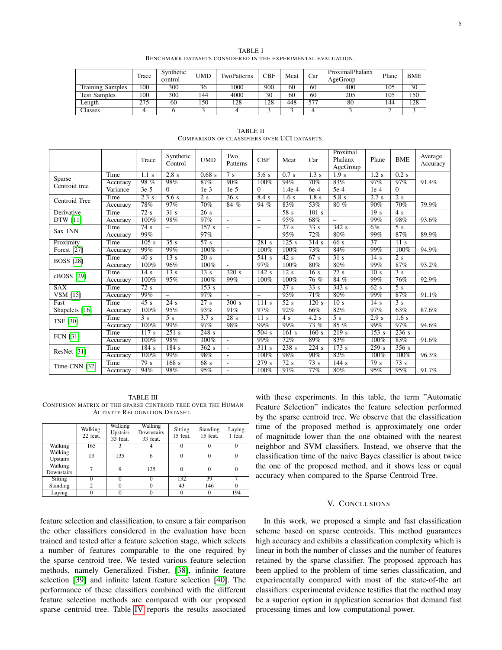| TABLE I                                                       |  |
|---------------------------------------------------------------|--|
| BENCHMARK DATASETS CONSIDERED IN THE EXPERIMENTAL EVALUATION. |  |

|                         | Trace | Synthetic<br>control | UMD  | TwoPatterns | <b>CBF</b> | Meat | Car | ProximalPhalanx<br>AgeGroup | Plane | <b>BME</b> |
|-------------------------|-------|----------------------|------|-------------|------------|------|-----|-----------------------------|-------|------------|
| <b>Training Samples</b> | 100   | 300                  | 36   | 1000        | 900        | 60   | 60  | 400                         | 105   | 30         |
| <b>Test Samples</b>     | 100   | 300                  | 144  | 4000        | 30         | 60   | 60  | 205                         | 105   | 150        |
| ∟ength                  | 275   | 60                   | l 50 | 128         | 128        | 448  | 577 | 80                          | 144   | 128        |
| <b>Classes</b>          |       |                      |      |             |            |      |     |                             |       |            |

|                         |          | Trace            | Synthetic<br>Control     | <b>UMD</b>         | Two<br>Patterns          | <b>CBF</b>               | Meat              | Car                          | Proximal<br>Phalanx<br>AgeGroup | Plane              | <b>BME</b>         | Average<br>Accuracy |
|-------------------------|----------|------------------|--------------------------|--------------------|--------------------------|--------------------------|-------------------|------------------------------|---------------------------------|--------------------|--------------------|---------------------|
|                         | Time     | $1.1$ s          | 2.8s                     | 0.68 s             | 7 <sub>s</sub>           | $\overline{5.6}$ s       | 0.7 s             | $\overline{1.3}$ s           | $\overline{1.9s}$               | $\overline{1.2}$ s | $0.2$ s            |                     |
| Sparse<br>Centroid tree | Accuracy | 98%              | 98%                      | 87%                | 90%                      | 100%                     | 94%               | 70%                          | 83%                             | 97%                | 97%                | 91.4%               |
|                         | Variance | $3e-5$           | $\Omega$                 | $1e-3$             | $1e-5$                   | $\Omega$                 | $1.4e-4$          | $6e-4$                       | $5e-4$                          | $1e-4$             | $\Omega$           |                     |
| Centroid Tree           | Time     | 2.3 s            | $\overline{5.6}$ s       | $\overline{2}$ s   | $\overline{36}$ s        | 8.4 s                    | 1.6 s             | 1.8 s                        | 5.8 s                           | 2.7 s              | $\overline{2}$ s   |                     |
|                         | Accuracy | 78%              | 97%                      | 70%                | 84%                      | 94%                      | 83%               | 53%                          | 80%                             | 90%                | 70%                | 79.9%               |
| Derivative              | Time     | 72s              | $\overline{31}$ s        | $\overline{26}$ s  | $\overline{\phantom{a}}$ | $\overline{\phantom{0}}$ | 58s               | $\overline{101}$ s           | $\overline{\phantom{a}}$        | 19 <sub>s</sub>    | $\overline{4}$ s   |                     |
| DTW [11]                | Accuracy | 100%             | 98%                      | 97%                | ÷                        | $\overline{\phantom{0}}$ | 95%               | 68%                          | $\overline{\phantom{0}}$        | 99%                | 98%                | 93.6%               |
| Sax 1NN                 | Time     | 74s              | $\overline{\phantom{0}}$ | $\overline{157}$ s | $\overline{\phantom{a}}$ | $\overline{\phantom{0}}$ | $\overline{27s}$  | $\overline{33} \overline{s}$ | $\overline{342}$ s              | 63s                | $\overline{5}$ s   |                     |
|                         | Accuracy | 99%              | $\overline{\phantom{0}}$ | 97%                |                          | $\overline{\phantom{0}}$ | 95%               | 72%                          | $80\%$                          | 99%                | 87%                | 89.9%               |
| Proximity               | Time     | 105s             | $\overline{35}$ s        | $\overline{57}$ s  | $\overline{\phantom{a}}$ | $\overline{281}$ s       | 125s              | 314s                         | $\overline{66}$ s               | $\overline{37}$    | 11 <sub>s</sub>    |                     |
| Forest [27]             | Accuracy | 99%              | 99%                      | 100%               | $\overline{\phantom{a}}$ | 100%                     | 100%              | 73%                          | 84%                             | 99%                | 100%               | 94.9%               |
| <b>BOSS</b> [28]        | Time     | 40s              | $\overline{13}$ s        | 20 s               | $\overline{\phantom{a}}$ | 541 s                    | 42s               | 67s                          | $\overline{31}$ s               | 14s                | 2s                 |                     |
|                         | Accuracy | 100%             | 96%                      | 100%               | ÷.                       | 97%                      | 100%              | 80%                          | 80%                             | 99%                | 87%                | 93.2%               |
| cBOSS [29]              | Time     | 14s              | $\overline{13}$ s        | 13s                | 320s                     | 142s                     | 12s               | 16s                          | 27s                             | 10 <sub>s</sub>    | 3s                 |                     |
|                         | Accuracy | 100%             | 95%                      | 100%               | 99%                      | 100%                     | 100%              | 76%                          | 84%                             | 99%                | 76%                | 92.9%               |
| SAX                     | Time     | $\overline{72s}$ | $\overline{\phantom{0}}$ | $\overline{153}$ s |                          | $\overline{\phantom{0}}$ | $\overline{27s}$  | $\overline{33} \overline{s}$ | $\overline{343}$ s              | 62 s               | $\overline{5}$ s   |                     |
| VSM [15]                | Accuracy | 99%              | $\overline{\phantom{0}}$ | 97%                | $\overline{\phantom{a}}$ | $\overline{\phantom{0}}$ | 95%               | 71%                          | 80%                             | 99%                | 87%                | 91.1%               |
| Fast                    | Time     | $\overline{45s}$ | $\overline{24}$ s        | $\overline{27}$ s  | 300 s                    | 111s                     | $\overline{52}$ s | $\overline{120 s}$           | $\overline{10 s}$               | $\overline{14}$ s  | $\overline{3}$ s   |                     |
| Shapelets [16]          | Accuracy | 100%             | 95%                      | 93%                | 91%                      | 97%                      | 92%               | 66%                          | 82%                             | 97%                | 63%                | 87.6%               |
| <b>TSF [30]</b>         | Time     | $\overline{3}$ s | $\overline{5}$ s         | $\overline{3.7s}$  | $\overline{28}$ s        | $\overline{11}$ s        | $\overline{4}$ s  | 4.2 s                        | $\overline{5}$ s                | 2.9s               | $\overline{1.6}$ s |                     |
|                         | Accuracy | 100%             | 99%                      | 97%                | 98%                      | 99%                      | 99%               | $73\%$                       | 85%                             | 99%                | 97%                | 94.6%               |
| <b>FCN</b> [31]         | Time     | 117s             | $\overline{251}$ s       | $\overline{248}$ s | $\overline{a}$           | 504 s                    | 161 s             | $\overline{160}$ s           | 219s                            | $\overline{153}$ s | $\overline{236}$ s |                     |
|                         | Accuracy | 100%             | 98%                      | 100%               | $\mathbf{r}$             | 99%                      | 72%               | 89%                          | 83%                             | 100%               | 83%                | 91.6%               |
|                         | Time     | 184s             | 184s                     | 362s               | $\overline{\phantom{a}}$ | 311s                     | 238s              | 224s                         | 173 s                           | 259s               | $\overline{356}$ s |                     |
| ResNet [31]             | Accuracy | 100%             | 99%                      | 98%                | $\overline{a}$           | 100%                     | 98%               | 90%                          | 82%                             | 100%               | 100%               | 96.3%               |
| Time-CNN [32]           | Time     | 79s              | $\overline{168}$ s       | 68 s               | $\overline{\phantom{a}}$ | 279s                     | $\overline{72}$ s | $\overline{73}$ s            | $\overline{144}$ s              | 79s                | 73 s               |                     |
|                         | Accuracy | 94%              | 98%                      | 95%                | $\overline{a}$           | 100%                     | 91%               | 77%                          | 80%                             | 95%                | 95%                | 91.7%               |

TABLE II COMPARISON OF CLASSIFIERS OVER UCI DATASETS.

TABLE III CONFUSION MATRIX OF THE SPARSE CENTROID TREE OVER THE HUMAN ACTIVITY RECOGNITION DATASET.

|                       | Walking.<br>22 feat. | Walking<br>Upstairs<br>33 feat. | Walking<br>Downstairs<br>33 feat. | Sitting<br>15 feat. | Standing<br>15 feat. | Laying<br>1 feat. |
|-----------------------|----------------------|---------------------------------|-----------------------------------|---------------------|----------------------|-------------------|
| Walking               | 165                  |                                 |                                   |                     |                      |                   |
| Walking<br>Upstairs   | 13                   | 135                             | 6                                 | 0                   | 0                    |                   |
| Walking<br>Downstairs |                      | 9                               | 125                               |                     | $\Omega$             |                   |
| Sitting               |                      |                                 |                                   | 132                 | 39                   |                   |
| Standing              | 2                    | 0                               |                                   | 43                  | 146                  |                   |
| Laying                |                      | $\Omega$                        |                                   |                     |                      | 194               |

feature selection and classification, to ensure a fair comparison the other classifiers considered in the evaluation have been trained and tested after a feature selection stage, which selects a number of features comparable to the one required by the sparse centroid tree. We tested various feature selection methods, namely Generalized Fisher, [38], infinite feature selection [39] and infinite latent feature selection [40]. The performance of these classifiers combined with the different feature selection methods are compared with our proposed sparse centroid tree. Table IV reports the results associated with these experiments. In this table, the term "Automatic Feature Selection" indicates the feature selection performed by the sparse centroid tree. We observe that the classification time of the proposed method is approximately one order of magnitude lower than the one obtained with the nearest neighbor and SVM classifiers. Instead, we observe that the classification time of the naive Bayes classifier is about twice the one of the proposed method, and it shows less or equal accuracy when compared to the Sparse Centroid Tree.

#### V. CONCLUSIONS

In this work, we proposed a simple and fast classification scheme based on sparse centroids. This method guarantees high accuracy and exhibits a classification complexity which is linear in both the number of classes and the number of features retained by the sparse classifier. The proposed approach has been applied to the problem of time series classification, and experimentally compared with most of the state-of-the art classifiers: experimental evidence testifies that the method may be a superior option in application scenarios that demand fast processing times and low computational power.